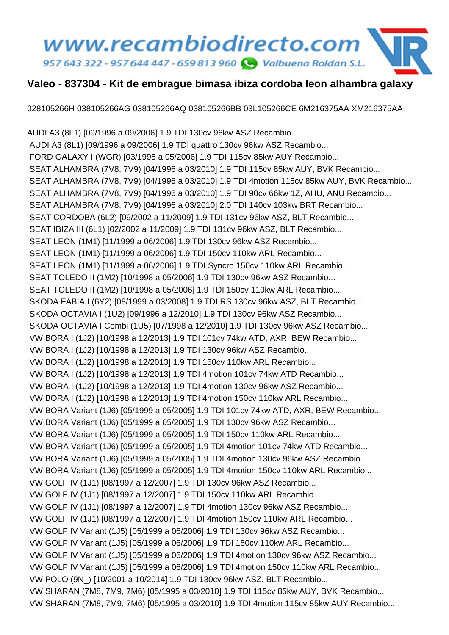## www.recambiodirecto.com 957 643 322 - 957 644 447 - 659 813 960 @ Valbuena Roldan S.L.

## **Valeo - 837304 - Kit de embrague bimasa ibiza cordoba leon alhambra galaxy**

028105266H 038105266AG 038105266AQ 038105266BB 03L105266CE 6M216375AA XM216375AA

AUDI A3 (8L1) [09/1996 a 09/2006] 1.9 TDI 130cv 96kw ASZ Recambio... AUDI A3 (8L1) [09/1996 a 09/2006] 1.9 TDI quattro 130cv 96kw ASZ Recambio... FORD GALAXY I (WGR) [03/1995 a 05/2006] 1.9 TDI 115cv 85kw AUY Recambio... SEAT ALHAMBRA (7V8, 7V9) [04/1996 a 03/2010] 1.9 TDI 115cv 85kw AUY, BVK Recambio... SEAT ALHAMBRA (7V8, 7V9) [04/1996 a 03/2010] 1.9 TDI 4motion 115cv 85kw AUY, BVK Recambio... SEAT ALHAMBRA (7V8, 7V9) [04/1996 a 03/2010] 1.9 TDI 90cv 66kw 1Z, AHU, ANU Recambio... SEAT ALHAMBRA (7V8, 7V9) [04/1996 a 03/2010] 2.0 TDI 140cv 103kw BRT Recambio... SEAT CORDOBA (6L2) [09/2002 a 11/2009] 1.9 TDI 131cv 96kw ASZ, BLT Recambio... SEAT IBIZA III (6L1) [02/2002 a 11/2009] 1.9 TDI 131cv 96kw ASZ, BLT Recambio... SEAT LEON (1M1) [11/1999 a 06/2006] 1.9 TDI 130cv 96kw ASZ Recambio... SEAT LEON (1M1) [11/1999 a 06/2006] 1.9 TDI 150cv 110kw ARL Recambio... SEAT LEON (1M1) [11/1999 a 06/2006] 1.9 TDI Syncro 150cv 110kw ARL Recambio... SEAT TOLEDO II (1M2) [10/1998 a 05/2006] 1.9 TDI 130cv 96kw ASZ Recambio... SEAT TOLEDO II (1M2) [10/1998 a 05/2006] 1.9 TDI 150cv 110kw ARL Recambio... SKODA FABIA I (6Y2) [08/1999 a 03/2008] 1.9 TDI RS 130cv 96kw ASZ, BLT Recambio... SKODA OCTAVIA I (1U2) [09/1996 a 12/2010] 1.9 TDI 130cv 96kw ASZ Recambio... SKODA OCTAVIA I Combi (1U5) [07/1998 a 12/2010] 1.9 TDI 130cv 96kw ASZ Recambio... VW BORA I (1J2) [10/1998 a 12/2013] 1.9 TDI 101cv 74kw ATD, AXR, BEW Recambio... VW BORA I (1J2) [10/1998 a 12/2013] 1.9 TDI 130cv 96kw ASZ Recambio... VW BORA I (1J2) [10/1998 a 12/2013] 1.9 TDI 150cv 110kw ARL Recambio... VW BORA I (1J2) [10/1998 a 12/2013] 1.9 TDI 4motion 101cv 74kw ATD Recambio... VW BORA I (1J2) [10/1998 a 12/2013] 1.9 TDI 4motion 130cv 96kw ASZ Recambio... VW BORA I (1J2) [10/1998 a 12/2013] 1.9 TDI 4motion 150cv 110kw ARL Recambio... VW BORA Variant (1J6) [05/1999 a 05/2005] 1.9 TDI 101cv 74kw ATD, AXR, BEW Recambio... VW BORA Variant (1J6) [05/1999 a 05/2005] 1.9 TDI 130cv 96kw ASZ Recambio... VW BORA Variant (1J6) [05/1999 a 05/2005] 1.9 TDI 150cv 110kw ARL Recambio... VW BORA Variant (1J6) [05/1999 a 05/2005] 1.9 TDI 4motion 101cv 74kw ATD Recambio... VW BORA Variant (1J6) [05/1999 a 05/2005] 1.9 TDI 4motion 130cv 96kw ASZ Recambio... VW BORA Variant (1J6) [05/1999 a 05/2005] 1.9 TDI 4motion 150cv 110kw ARL Recambio... VW GOLF IV (1J1) [08/1997 a 12/2007] 1.9 TDI 130cv 96kw ASZ Recambio... VW GOLF IV (1J1) [08/1997 a 12/2007] 1.9 TDI 150cv 110kw ARL Recambio... VW GOLF IV (1J1) [08/1997 a 12/2007] 1.9 TDI 4motion 130cv 96kw ASZ Recambio... VW GOLF IV (1J1) [08/1997 a 12/2007] 1.9 TDI 4motion 150cv 110kw ARL Recambio... VW GOLF IV Variant (1J5) [05/1999 a 06/2006] 1.9 TDI 130cv 96kw ASZ Recambio... VW GOLF IV Variant (1J5) [05/1999 a 06/2006] 1.9 TDI 150cv 110kw ARL Recambio... VW GOLF IV Variant (1J5) [05/1999 a 06/2006] 1.9 TDI 4motion 130cv 96kw ASZ Recambio... VW GOLF IV Variant (1J5) [05/1999 a 06/2006] 1.9 TDI 4motion 150cv 110kw ARL Recambio... VW POLO (9N\_) [10/2001 a 10/2014] 1.9 TDI 130cv 96kw ASZ, BLT Recambio... VW SHARAN (7M8, 7M9, 7M6) [05/1995 a 03/2010] 1.9 TDI 115cv 85kw AUY, BVK Recambio... VW SHARAN (7M8, 7M9, 7M6) [05/1995 a 03/2010] 1.9 TDI 4motion 115cv 85kw AUY Recambio...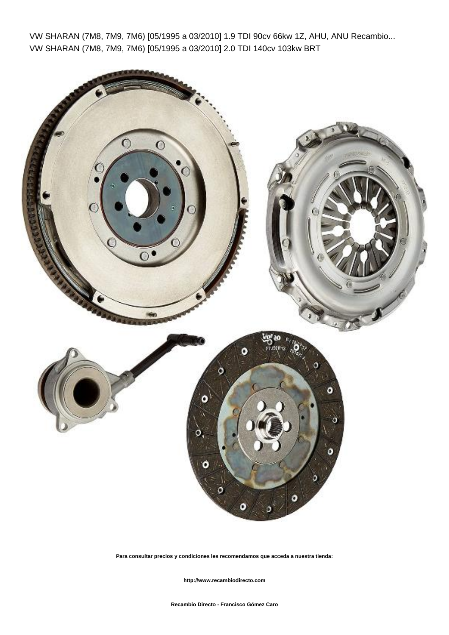VW SHARAN (7M8, 7M9, 7M6) [05/1995 a 03/2010] 1.9 TDI 90cv 66kw 1Z, AHU, ANU Recambio... VW SHARAN (7M8, 7M9, 7M6) [05/1995 a 03/2010] 2.0 TDI 140cv 103kw BRT



**Para consultar precios y condiciones les recomendamos que acceda a nuestra tienda:**

 **http://www.recambiodirecto.com**